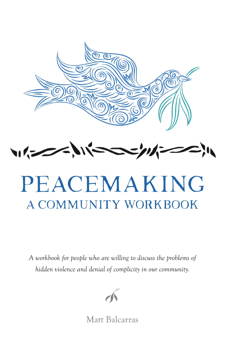



# PEACEMAKING A Community workbook

*A workbook for people who are willing to discuss the problems of hidden violence and denial of complicity in our community.* 



Matt Balcarras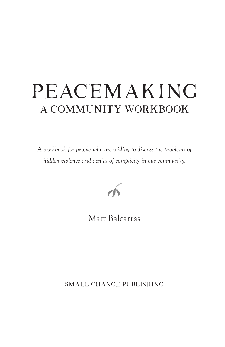# PEACEMAKING A Community workbook

*A workbook for people who are willing to discuss the problems of hidden violence and denial of complicity in our community.* 



Matt Balcarras

SMALL CHANGE PUBLISHING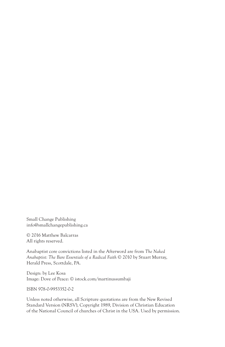Small Change Publishing info@smallchangepublishing.ca

© 2016 Matthew Balcarras All rights reserved.

Anabaptist core convictions listed in the Afterword are from *The Naked Anabaptist: The Bare Essentials of a Radical Faith* © 2010 by Stuart Murray, Herald Press, Scottdale, PA.

Design: by Lee Kosa Image: Dove of Peace: © istock.com/martinussumbaji

ISBN 978-0-9953352-0-2

Unless noted otherwise, all Scripture quotations are from the New Revised Standard Version (NRSV), Copyright 1989, Division of Christian Education of the National Council of churches of Christ in the USA. Used by permission.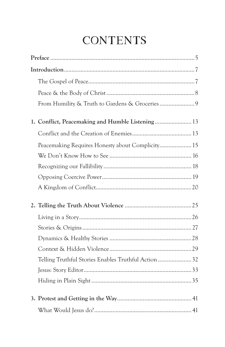## **CONTENTS**

|  | Peacemaking Requires Honesty about Complicity 15   |  |
|--|----------------------------------------------------|--|
|  |                                                    |  |
|  |                                                    |  |
|  |                                                    |  |
|  |                                                    |  |
|  |                                                    |  |
|  |                                                    |  |
|  |                                                    |  |
|  |                                                    |  |
|  |                                                    |  |
|  | Telling Truthful Stories Enables Truthful Action32 |  |
|  |                                                    |  |
|  |                                                    |  |
|  |                                                    |  |
|  |                                                    |  |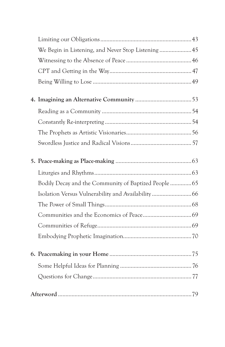|  | We Begin in Listening, and Never Stop Listening  45   |  |
|--|-------------------------------------------------------|--|
|  |                                                       |  |
|  |                                                       |  |
|  |                                                       |  |
|  |                                                       |  |
|  |                                                       |  |
|  |                                                       |  |
|  |                                                       |  |
|  |                                                       |  |
|  |                                                       |  |
|  |                                                       |  |
|  | Bodily Decay and the Community of Baptized People  65 |  |
|  |                                                       |  |
|  |                                                       |  |
|  |                                                       |  |
|  |                                                       |  |
|  |                                                       |  |
|  |                                                       |  |
|  |                                                       |  |
|  |                                                       |  |
|  |                                                       |  |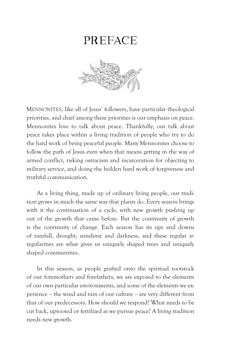### **PREFACE**



Mennonites, like all of Jesus' followers, have particular theological priorities, and chief among these priorities is our emphasis on peace. Mennonites love to talk about peace. Thankfully, our talk about peace takes place within a living tradition of people who try to do the hard work of being peaceful people. Many Mennonites choose to follow the path of Jesus even when that means getting in the way of armed conflict, risking ostracism and incarceration for objecting to military service, and doing the hidden hard work of forgiveness and truthful communication.

As a living thing, made up of ordinary living people, our tradition grows in much the same way that plants do. Every season brings with it the continuation of a cycle, with new growth pushing up out of the growth that came before. But the continuity of growth is the continuity of change. Each season has its ups and downs of rainfall, drought, sunshine and darkness, and these regular irregularities are what gives us uniquely shaped trees and uniquely shaped communities.

In this season, as people grafted onto the spiritual rootstock of our foremothers and forefathers, we are exposed to the elements of our own particular environments, and some of the elements we experience – the wind and rain of our culture – are very different from that of our predecessors. How should we respond? What needs to be cut back, uprooted or fertilized as we pursue peace? A living tradition needs new growth.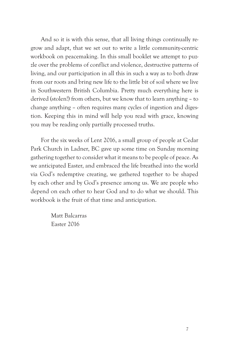And so it is with this sense, that all living things continually regrow and adapt, that we set out to write a little community-centric workbook on peacemaking. In this small booklet we attempt to puzzle over the problems of conflict and violence, destructive patterns of living, and our participation in all this in such a way as to both draw from our roots and bring new life to the little bit of soil where we live in Southwestern British Columbia. Pretty much everything here is derived (stolen!) from others, but we know that to learn anything – to change anything – often requires many cycles of ingestion and digestion. Keeping this in mind will help you read with grace, knowing you may be reading only partially processed truths.

For the six weeks of Lent 2016, a small group of people at Cedar Park Church in Ladner, BC gave up some time on Sunday morning gathering together to consider what it means to be people of peace. As we anticipated Easter, and embraced the life breathed into the world via God's redemptive creating, we gathered together to be shaped by each other and by God's presence among us. We are people who depend on each other to hear God and to do what we should. This workbook is the fruit of that time and anticipation.

> Matt Balcarras Easter 2016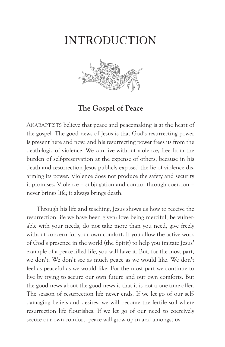### **INTRODUCTION**



**The Gospel of Peace**

ANABAPTISTS believe that peace and peacemaking is at the heart of the gospel. The good news of Jesus is that God's resurrecting power is present here and now, and his resurrecting power frees us from the death-logic of violence. We can live without violence, free from the burden of self-preservation at the expense of others, because in his death and resurrection Jesus publicly exposed the lie of violence disarming its power. Violence does not produce the safety and security it promises. Violence – subjugation and control through coercion – never brings life; it always brings death.

Through his life and teaching, Jesus shows us how to receive the resurrection life we have been given: love being merciful, be vulnerable with your needs, do not take more than you need, give freely without concern for your own comfort. If you allow the active work of God's presence in the world (the Spirit) to help you imitate Jesus' example of a peace-filled life, you will have it. But, for the most part, we don't. We don't see as much peace as we would like. We don't feel as peaceful as we would like. For the most part we continue to live by trying to secure our own future and our own comforts. But the good news about the good news is that it is not a one-time-offer. The season of resurrection life never ends. If we let go of our selfdamaging beliefs and desires, we will become the fertile soil where resurrection life flourishes. If we let go of our need to coercively secure our own comfort, peace will grow up in and amongst us.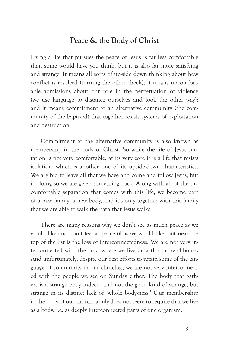#### **Peace & the Body of Christ**

Living a life that pursues the peace of Jesus is far less comfortable than some would have you think, but it is also far more satisfying and strange. It means all sorts of up-side down thinking about how conflict is resolved (turning the other cheek); it means uncomfortable admissions about our role in the perpetuation of violence (we use language to distance ourselves and look the other way); and it means commitment to an alternative community (the community of the baptized) that together resists systems of exploitation and destruction.

Commitment to the alternative community is also known as membership in the body of Christ. So while the life of Jesus imitation is not very comfortable, at its very core it is a life that resists isolation, which is another one of its upside-down characteristics. We are bid to leave all that we have and come and follow Jesus, but in doing so we are given something back. Along with all of the uncomfortable separation that comes with this life, we become part of a new family, a new body, and it's only together with this family that we are able to walk the path that Jesus walks.

There are many reasons why we don't see as much peace as we would like and don't feel as peaceful as we would like, but near the top of the list is the loss of interconnectedness. We are not very interconnected with the land where we live or with our neighbours. And unfortunately, despite our best efforts to retain some of the language of community in our churches, we are not very interconnected with the people we see on Sunday either. The body that gathers is a strange body indeed, and not the good kind of strange, but strange in its distinct lack of 'whole body-ness.' Our member-ship in the body of our church family does not seem to require that we live as a body, i.e. as deeply interconnected parts of one organism.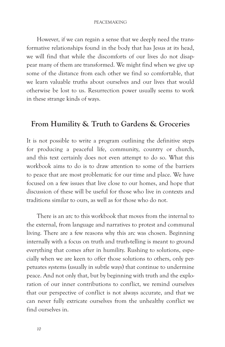#### PEACEMAKING

However, if we can regain a sense that we deeply need the transformative relationships found in the body that has Jesus at its head, we will find that while the discomforts of our lives do not disappear many of them are transformed. We might find when we give up some of the distance from each other we find so comfortable, that we learn valuable truths about ourselves and our lives that would otherwise be lost to us. Resurrection power usually seems to work in these strange kinds of ways.

#### **From Humility & Truth to Gardens & Groceries**

It is not possible to write a program outlining the definitive steps for producing a peaceful life, community, country or church, and this text certainly does not even attempt to do so. What this workbook aims to do is to draw attention to some of the barriers to peace that are most problematic for our time and place. We have focused on a few issues that live close to our homes, and hope that discussion of these will be useful for those who live in contexts and traditions similar to ours, as well as for those who do not.

There is an arc to this workbook that moves from the internal to the external, from language and narratives to protest and communal living. There are a few reasons why this arc was chosen. Beginning internally with a focus on truth and truth-telling is meant to ground everything that comes after in humility. Rushing to solutions, especially when we are keen to offer those solutions to others, only perpetuates systems (usually in subtle ways) that continue to undermine peace. And not only that, but by beginning with truth and the exploration of our inner contributions to conflict, we remind ourselves that our perspective of conflict is not always accurate, and that we can never fully extricate ourselves from the unhealthy conflict we find ourselves in.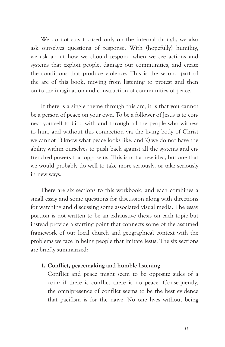We do not stay focused only on the internal though, we also ask ourselves questions of response. With (hopefully) humility, we ask about how we should respond when we see actions and systems that exploit people, damage our communities, and create the conditions that produce violence. This is the second part of the arc of this book, moving from listening to protest and then on to the imagination and construction of communities of peace.

If there is a single theme through this arc, it is that you cannot be a person of peace on your own. To be a follower of Jesus is to connect yourself to God with and through all the people who witness to him, and without this connection via the living body of Christ we cannot 1) know what peace looks like, and 2) we do not have the ability within ourselves to push back against all the systems and entrenched powers that oppose us. This is not a new idea, but one that we would probably do well to take more seriously, or take seriously in new ways.

There are six sections to this workbook, and each combines a small essay and some questions for discussion along with directions for watching and discussing some associated visual media. The essay portion is not written to be an exhaustive thesis on each topic but instead provide a starting point that connects some of the assumed framework of our local church and geographical context with the problems we face in being people that imitate Jesus. The six sections are briefly summarized:

#### **1. Conflict, peacemaking and humble listening**

Conflict and peace might seem to be opposite sides of a coin: if there is conflict there is no peace. Consequently, the omnipresence of conflict seems to be the best evidence that pacifism is for the naive. No one lives without being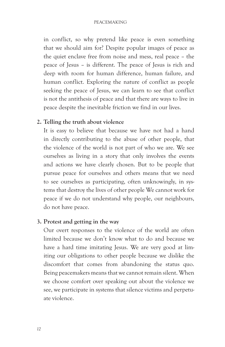#### PEACEMAKING

in conflict, so why pretend like peace is even something that we should aim for? Despite popular images of peace as the quiet enclave free from noise and mess, real peace – the peace of Jesus – is different. The peace of Jesus is rich and deep with room for human difference, human failure, and human conflict. Exploring the nature of conflict as people seeking the peace of Jesus, we can learn to see that conflict is not the antithesis of peace and that there are ways to live in peace despite the inevitable friction we find in our lives.

#### **2. Telling the truth about violence**

It is easy to believe that because we have not had a hand in directly contributing to the abuse of other people, that the violence of the world is not part of who we are. We see ourselves as living in a story that only involves the events and actions we have clearly chosen. But to be people that pursue peace for ourselves and others means that we need to see ourselves as participating, often unknowingly, in systems that destroy the lives of other people We cannot work for peace if we do not understand why people, our neighbours, do not have peace.

#### **3. Protest and getting in the way**

Our overt responses to the violence of the world are often limited because we don't know what to do and because we have a hard time imitating Jesus. We are very good at limiting our obligations to other people because we dislike the discomfort that comes from abandoning the status quo. Being peacemakers means that we cannot remain silent. When we choose comfort over speaking out about the violence we see, we participate in systems that silence victims and perpetuate violence.